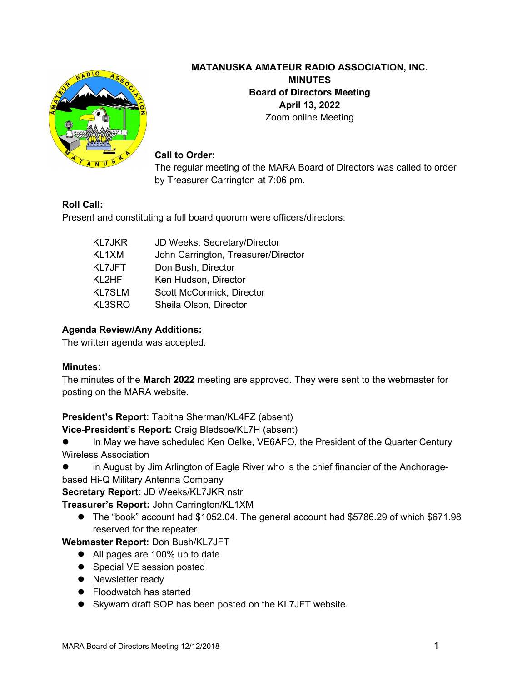

# **MATANUSKA AMATEUR RADIO ASSOCIATION, INC. MINUTES Board of Directors Meeting April 13, 2022** Zoom online Meeting

#### **Call to Order:**

The regular meeting of the MARA Board of Directors was called to order by Treasurer Carrington at 7:06 pm.

# **Roll Call:**

Present and constituting a full board quorum were officers/directors:

| <b>KL7JKR</b> | JD Weeks, Secretary/Director        |
|---------------|-------------------------------------|
| KL1XM         | John Carrington, Treasurer/Director |
| <b>KL7JFT</b> | Don Bush, Director                  |
| KL2HF         | Ken Hudson, Director                |
| <b>KL7SLM</b> | Scott McCormick, Director           |
| KL3SRO        | Sheila Olson, Director              |

# **Agenda Review/Any Additions:**

The written agenda was accepted.

# **Minutes:**

The minutes of the **March 2022** meeting are approved. They were sent to the webmaster for posting on the MARA website.

# **President's Report:** Tabitha Sherman/KL4FZ (absent)

**Vice-President's Report:** Craig Bledsoe/KL7H (absent)

- In May we have scheduled Ken Oelke, VE6AFO, the President of the Quarter Century Wireless Association
- in August by Jim Arlington of Eagle River who is the chief financier of the Anchorage-

based Hi-Q Military Antenna Company

**Secretary Report:** JD Weeks/KL7JKR nstr

**Treasurer's Report:** John Carrington/KL1XM

 The "book" account had \$1052.04. The general account had \$5786.29 of which \$671.98 reserved for the repeater.

**Webmaster Report:** Don Bush/KL7JFT

- All pages are 100% up to date
- Special VE session posted
- Newsletter ready
- Floodwatch has started
- Skywarn draft SOP has been posted on the KL7JFT website.